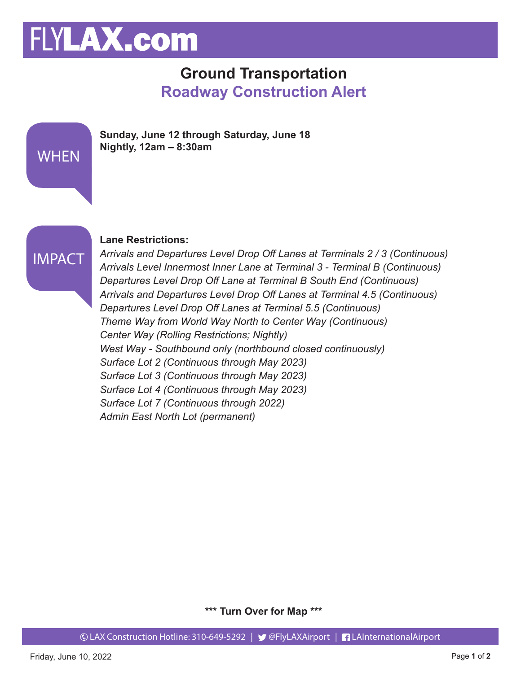# FLYLAX.com

### **Ground Transportation Roadway Construction Alert**

| <b>WHEN</b>   | Sunday, June 12 through Saturday, June 18<br>Nightly, $12am - 8:30am$                                                                                               |
|---------------|---------------------------------------------------------------------------------------------------------------------------------------------------------------------|
| <b>IMPACT</b> | <b>Lane Restrictions:</b><br>Arrivals and Departures Level Drop Off Lanes at Terminals 2/3 (C)<br>Arrivale Lavel Innermest Inner Lane at Terminal 2 Terminal R (Cou |

#### *Arrivals and Departures Level Drop Off Lanes at Terminals 2 / 3 (Continuous) Arrivals Level Innermost Inner Lane at Terminal 3 - Terminal B (Continuous) Departures Level Drop Off Lane at Terminal B South End (Continuous) Arrivals and Departures Level Drop Off Lanes at Terminal 4.5 (Continuous) Departures Level Drop Off Lanes at Terminal 5.5 (Continuous) Theme Way from World Way North to Center Way (Continuous) Center Way (Rolling Restrictions; Nightly) West Way - Southbound only (northbound closed continuously) Surface Lot 2 (Continuous through May 2023) Surface Lot 3 (Continuous through May 2023) Surface Lot 4 (Continuous through May 2023) Surface Lot 7 (Continuous through 2022) Admin East North Lot (permanent)*

**\*\*\* Turn Over for Map \*\*\***